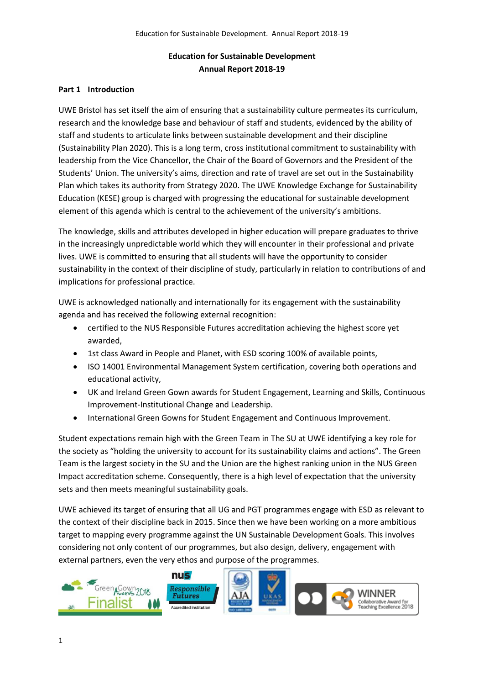# **Education for Sustainable Development Annual Report 2018-19**

### **Part 1 Introduction**

UWE Bristol has set itself the aim of ensuring that a sustainability culture permeates its curriculum, research and the knowledge base and behaviour of staff and students, evidenced by the ability of staff and students to articulate links between sustainable development and their discipline (Sustainability Plan 2020). This is a long term, cross institutional commitment to sustainability with leadership from the Vice Chancellor, the Chair of the Board of Governors and the President of the Students' Union. The university's aims, direction and rate of travel are set out in the Sustainability Plan which takes its authority from Strategy 2020. The UWE Knowledge Exchange for Sustainability Education (KESE) group is charged with progressing the educational for sustainable development element of this agenda which is central to the achievement of the university's ambitions.

The knowledge, skills and attributes developed in higher education will prepare graduates to thrive in the increasingly unpredictable world which they will encounter in their professional and private lives. UWE is committed to ensuring that all students will have the opportunity to consider sustainability in the context of their discipline of study, particularly in relation to contributions of and implications for professional practice.

UWE is acknowledged nationally and internationally for its engagement with the sustainability agenda and has received the following external recognition:

- certified to the NUS Responsible Futures accreditation achieving the highest score yet awarded,
- 1st class Award in People and Planet, with ESD scoring 100% of available points,
- ISO 14001 Environmental Management System certification, covering both operations and educational activity,
- UK and Ireland Green Gown awards for Student Engagement, Learning and Skills, Continuous Improvement-Institutional Change and Leadership.
- International Green Gowns for Student Engagement and Continuous Improvement.

Student expectations remain high with the Green Team in The SU at UWE identifying a key role for the society as "holding the university to account for its sustainability claims and actions". The Green Team is the largest society in the SU and the Union are the highest ranking union in the NUS Green Impact accreditation scheme. Consequently, there is a high level of expectation that the university sets and then meets meaningful sustainability goals.

UWE achieved its target of ensuring that all UG and PGT programmes engage with ESD as relevant to the context of their discipline back in 2015. Since then we have been working on a more ambitious target to mapping every programme against the UN Sustainable Development Goals. This involves considering not only content of our programmes, but also design, delivery, engagement with external partners, even the very ethos and purpose of the programmes.

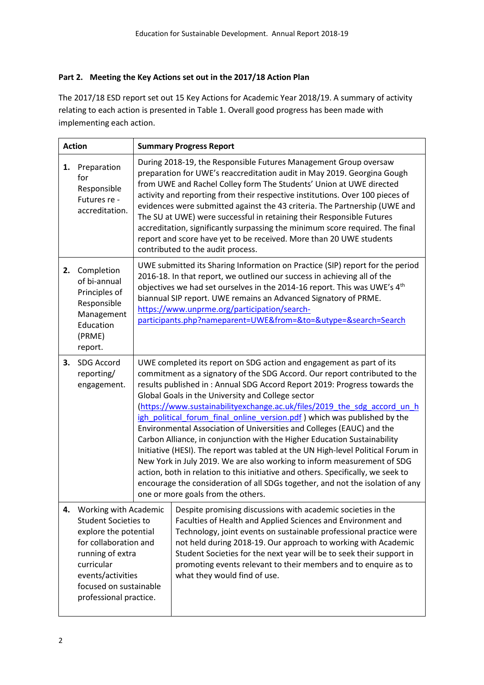### **Part 2. Meeting the Key Actions set out in the 2017/18 Action Plan**

The 2017/18 ESD report set out 15 Key Actions for Academic Year 2018/19. A summary of activity relating to each action is presented in Table 1. Overall good progress has been made with implementing each action.

| <b>Action</b> |                                                                                                                                                                                                                   |  | <b>Summary Progress Report</b>                                                                                                                                                                                                                                                                                                                                                                                                                                                                                                                                                                                                                                                                                                                                                                                                                                                                                                                                               |
|---------------|-------------------------------------------------------------------------------------------------------------------------------------------------------------------------------------------------------------------|--|------------------------------------------------------------------------------------------------------------------------------------------------------------------------------------------------------------------------------------------------------------------------------------------------------------------------------------------------------------------------------------------------------------------------------------------------------------------------------------------------------------------------------------------------------------------------------------------------------------------------------------------------------------------------------------------------------------------------------------------------------------------------------------------------------------------------------------------------------------------------------------------------------------------------------------------------------------------------------|
| 1.            | Preparation<br>for<br>Responsible<br>Futures re -<br>accreditation.                                                                                                                                               |  | During 2018-19, the Responsible Futures Management Group oversaw<br>preparation for UWE's reaccreditation audit in May 2019. Georgina Gough<br>from UWE and Rachel Colley form The Students' Union at UWE directed<br>activity and reporting from their respective institutions. Over 100 pieces of<br>evidences were submitted against the 43 criteria. The Partnership (UWE and<br>The SU at UWE) were successful in retaining their Responsible Futures<br>accreditation, significantly surpassing the minimum score required. The final<br>report and score have yet to be received. More than 20 UWE students<br>contributed to the audit process.                                                                                                                                                                                                                                                                                                                      |
| 2.            | Completion<br>of bi-annual<br>Principles of<br>Responsible<br>Management<br>Education<br>(PRME)<br>report.                                                                                                        |  | UWE submitted its Sharing Information on Practice (SIP) report for the period<br>2016-18. In that report, we outlined our success in achieving all of the<br>objectives we had set ourselves in the 2014-16 report. This was UWE's 4 <sup>th</sup><br>biannual SIP report. UWE remains an Advanced Signatory of PRME.<br>https://www.unprme.org/participation/search-<br>participants.php?nameparent=UWE&from=&to=&utype=&search=Search                                                                                                                                                                                                                                                                                                                                                                                                                                                                                                                                      |
| 3.            | SDG Accord<br>reporting/<br>engagement.                                                                                                                                                                           |  | UWE completed its report on SDG action and engagement as part of its<br>commitment as a signatory of the SDG Accord. Our report contributed to the<br>results published in: Annual SDG Accord Report 2019: Progress towards the<br>Global Goals in the University and College sector<br>(https://www.sustainabilityexchange.ac.uk/files/2019 the sdg accord un h<br>igh political forum final online version.pdf) which was published by the<br>Environmental Association of Universities and Colleges (EAUC) and the<br>Carbon Alliance, in conjunction with the Higher Education Sustainability<br>Initiative (HESI). The report was tabled at the UN High-level Political Forum in<br>New York in July 2019. We are also working to inform measurement of SDG<br>action, both in relation to this initiative and others. Specifically, we seek to<br>encourage the consideration of all SDGs together, and not the isolation of any<br>one or more goals from the others. |
| 4.            | Working with Academic<br><b>Student Societies to</b><br>explore the potential<br>for collaboration and<br>running of extra<br>curricular<br>events/activities<br>focused on sustainable<br>professional practice. |  | Despite promising discussions with academic societies in the<br>Faculties of Health and Applied Sciences and Environment and<br>Technology, joint events on sustainable professional practice were<br>not held during 2018-19. Our approach to working with Academic<br>Student Societies for the next year will be to seek their support in<br>promoting events relevant to their members and to enquire as to<br>what they would find of use.                                                                                                                                                                                                                                                                                                                                                                                                                                                                                                                              |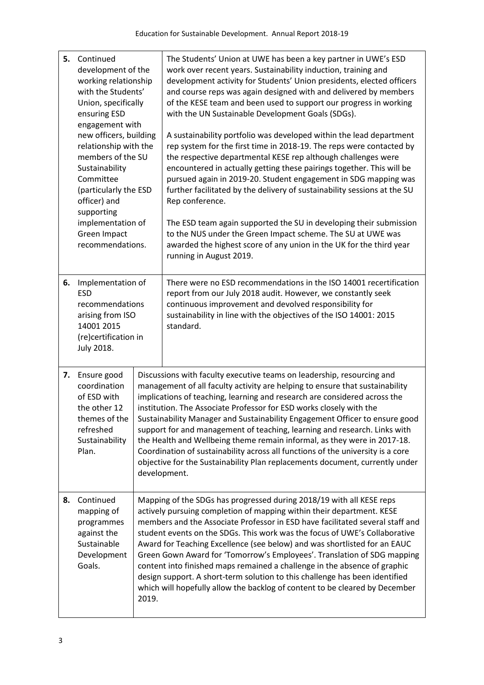| 5. | Continued<br>development of the<br>working relationship<br>with the Students'<br>Union, specifically<br>ensuring ESD<br>engagement with<br>new officers, building<br>relationship with the<br>members of the SU<br>Sustainability<br>Committee<br>(particularly the ESD<br>officer) and<br>supporting<br>implementation of<br>Green Impact<br>recommendations. |                                                                                                                                                                                                                                                                                                                                                                                                                                                                                                                                                                                                                                                                                                                                       | The Students' Union at UWE has been a key partner in UWE's ESD<br>work over recent years. Sustainability induction, training and<br>development activity for Students' Union presidents, elected officers<br>and course reps was again designed with and delivered by members<br>of the KESE team and been used to support our progress in working<br>with the UN Sustainable Development Goals (SDGs).<br>A sustainability portfolio was developed within the lead department<br>rep system for the first time in 2018-19. The reps were contacted by<br>the respective departmental KESE rep although challenges were<br>encountered in actually getting these pairings together. This will be<br>pursued again in 2019-20. Student engagement in SDG mapping was<br>further facilitated by the delivery of sustainability sessions at the SU<br>Rep conference.<br>The ESD team again supported the SU in developing their submission<br>to the NUS under the Green Impact scheme. The SU at UWE was<br>awarded the highest score of any union in the UK for the third year<br>running in August 2019. |
|----|----------------------------------------------------------------------------------------------------------------------------------------------------------------------------------------------------------------------------------------------------------------------------------------------------------------------------------------------------------------|---------------------------------------------------------------------------------------------------------------------------------------------------------------------------------------------------------------------------------------------------------------------------------------------------------------------------------------------------------------------------------------------------------------------------------------------------------------------------------------------------------------------------------------------------------------------------------------------------------------------------------------------------------------------------------------------------------------------------------------|-----------------------------------------------------------------------------------------------------------------------------------------------------------------------------------------------------------------------------------------------------------------------------------------------------------------------------------------------------------------------------------------------------------------------------------------------------------------------------------------------------------------------------------------------------------------------------------------------------------------------------------------------------------------------------------------------------------------------------------------------------------------------------------------------------------------------------------------------------------------------------------------------------------------------------------------------------------------------------------------------------------------------------------------------------------------------------------------------------------|
| 6. | Implementation of<br><b>ESD</b><br>recommendations<br>arising from ISO<br>14001 2015<br>(re)certification in<br><b>July 2018.</b>                                                                                                                                                                                                                              |                                                                                                                                                                                                                                                                                                                                                                                                                                                                                                                                                                                                                                                                                                                                       | There were no ESD recommendations in the ISO 14001 recertification<br>report from our July 2018 audit. However, we constantly seek<br>continuous improvement and devolved responsibility for<br>sustainability in line with the objectives of the ISO 14001: 2015<br>standard.                                                                                                                                                                                                                                                                                                                                                                                                                                                                                                                                                                                                                                                                                                                                                                                                                            |
| 7. | Ensure good<br>coordination<br>of ESD with<br>the other 12<br>themes of the<br>refreshed<br>Sustainability<br>Plan.                                                                                                                                                                                                                                            | Discussions with faculty executive teams on leadership, resourcing and<br>management of all faculty activity are helping to ensure that sustainability<br>implications of teaching, learning and research are considered across the<br>institution. The Associate Professor for ESD works closely with the<br>Sustainability Manager and Sustainability Engagement Officer to ensure good<br>support for and management of teaching, learning and research. Links with<br>the Health and Wellbeing theme remain informal, as they were in 2017-18.<br>Coordination of sustainability across all functions of the university is a core<br>objective for the Sustainability Plan replacements document, currently under<br>development. |                                                                                                                                                                                                                                                                                                                                                                                                                                                                                                                                                                                                                                                                                                                                                                                                                                                                                                                                                                                                                                                                                                           |
| 8. | Continued<br>mapping of<br>programmes<br>against the<br>Sustainable<br>Development<br>Goals.                                                                                                                                                                                                                                                                   | Mapping of the SDGs has progressed during 2018/19 with all KESE reps<br>actively pursuing completion of mapping within their department. KESE<br>members and the Associate Professor in ESD have facilitated several staff and<br>student events on the SDGs. This work was the focus of UWE's Collaborative<br>Award for Teaching Excellence (see below) and was shortlisted for an EAUC<br>Green Gown Award for 'Tomorrow's Employees'. Translation of SDG mapping<br>content into finished maps remained a challenge in the absence of graphic<br>design support. A short-term solution to this challenge has been identified<br>which will hopefully allow the backlog of content to be cleared by December<br>2019.              |                                                                                                                                                                                                                                                                                                                                                                                                                                                                                                                                                                                                                                                                                                                                                                                                                                                                                                                                                                                                                                                                                                           |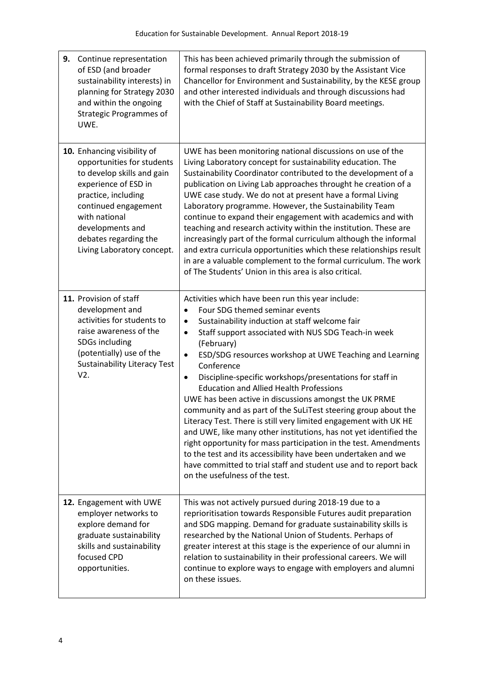| 9.<br>Continue representation<br>of ESD (and broader<br>sustainability interests) in<br>planning for Strategy 2030<br>and within the ongoing<br><b>Strategic Programmes of</b><br>UWE.                                                                     | This has been achieved primarily through the submission of<br>formal responses to draft Strategy 2030 by the Assistant Vice<br>Chancellor for Environment and Sustainability, by the KESE group<br>and other interested individuals and through discussions had<br>with the Chief of Staff at Sustainability Board meetings.                                                                                                                                                                                                                                                                                                                                                                                                                                                                                                                                                                                                                                                       |
|------------------------------------------------------------------------------------------------------------------------------------------------------------------------------------------------------------------------------------------------------------|------------------------------------------------------------------------------------------------------------------------------------------------------------------------------------------------------------------------------------------------------------------------------------------------------------------------------------------------------------------------------------------------------------------------------------------------------------------------------------------------------------------------------------------------------------------------------------------------------------------------------------------------------------------------------------------------------------------------------------------------------------------------------------------------------------------------------------------------------------------------------------------------------------------------------------------------------------------------------------|
| 10. Enhancing visibility of<br>opportunities for students<br>to develop skills and gain<br>experience of ESD in<br>practice, including<br>continued engagement<br>with national<br>developments and<br>debates regarding the<br>Living Laboratory concept. | UWE has been monitoring national discussions on use of the<br>Living Laboratory concept for sustainability education. The<br>Sustainability Coordinator contributed to the development of a<br>publication on Living Lab approaches throught he creation of a<br>UWE case study. We do not at present have a formal Living<br>Laboratory programme. However, the Sustainability Team<br>continue to expand their engagement with academics and with<br>teaching and research activity within the institution. These are<br>increasingly part of the formal curriculum although the informal<br>and extra curricula opportunities which these relationships result<br>in are a valuable complement to the formal curriculum. The work<br>of The Students' Union in this area is also critical.                                                                                                                                                                                      |
| 11. Provision of staff<br>development and<br>activities for students to<br>raise awareness of the<br>SDGs including<br>(potentially) use of the<br><b>Sustainability Literacy Test</b><br>V2.                                                              | Activities which have been run this year include:<br>Four SDG themed seminar events<br>$\bullet$<br>Sustainability induction at staff welcome fair<br>$\bullet$<br>Staff support associated with NUS SDG Teach-in week<br>$\bullet$<br>(February)<br>ESD/SDG resources workshop at UWE Teaching and Learning<br>$\bullet$<br>Conference<br>Discipline-specific workshops/presentations for staff in<br>$\bullet$<br><b>Education and Allied Health Professions</b><br>UWE has been active in discussions amongst the UK PRME<br>community and as part of the SuLiTest steering group about the<br>Literacy Test. There is still very limited engagement with UK HE<br>and UWE, like many other institutions, has not yet identified the<br>right opportunity for mass participation in the test. Amendments<br>to the test and its accessibility have been undertaken and we<br>have committed to trial staff and student use and to report back<br>on the usefulness of the test. |
| 12. Engagement with UWE<br>employer networks to<br>explore demand for<br>graduate sustainability<br>skills and sustainability<br>focused CPD<br>opportunities.                                                                                             | This was not actively pursued during 2018-19 due to a<br>reprioritisation towards Responsible Futures audit preparation<br>and SDG mapping. Demand for graduate sustainability skills is<br>researched by the National Union of Students. Perhaps of<br>greater interest at this stage is the experience of our alumni in<br>relation to sustainability in their professional careers. We will<br>continue to explore ways to engage with employers and alumni<br>on these issues.                                                                                                                                                                                                                                                                                                                                                                                                                                                                                                 |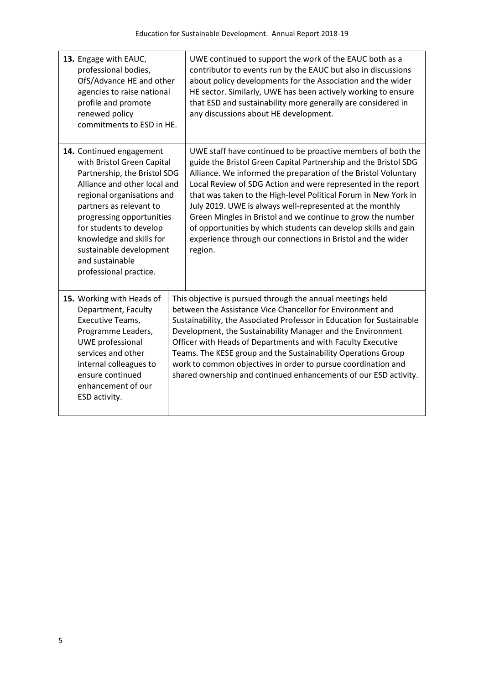| 13. Engage with EAUC,<br>professional bodies,<br>OfS/Advance HE and other<br>agencies to raise national<br>profile and promote<br>renewed policy<br>commitments to ESD in HE.                                                                                                                                                               | UWE continued to support the work of the EAUC both as a<br>contributor to events run by the EAUC but also in discussions<br>about policy developments for the Association and the wider<br>HE sector. Similarly, UWE has been actively working to ensure<br>that ESD and sustainability more generally are considered in<br>any discussions about HE development.                                                                                                                                                                                                                                            |
|---------------------------------------------------------------------------------------------------------------------------------------------------------------------------------------------------------------------------------------------------------------------------------------------------------------------------------------------|--------------------------------------------------------------------------------------------------------------------------------------------------------------------------------------------------------------------------------------------------------------------------------------------------------------------------------------------------------------------------------------------------------------------------------------------------------------------------------------------------------------------------------------------------------------------------------------------------------------|
| 14. Continued engagement<br>with Bristol Green Capital<br>Partnership, the Bristol SDG<br>Alliance and other local and<br>regional organisations and<br>partners as relevant to<br>progressing opportunities<br>for students to develop<br>knowledge and skills for<br>sustainable development<br>and sustainable<br>professional practice. | UWE staff have continued to be proactive members of both the<br>guide the Bristol Green Capital Partnership and the Bristol SDG<br>Alliance. We informed the preparation of the Bristol Voluntary<br>Local Review of SDG Action and were represented in the report<br>that was taken to the High-level Political Forum in New York in<br>July 2019. UWE is always well-represented at the monthly<br>Green Mingles in Bristol and we continue to grow the number<br>of opportunities by which students can develop skills and gain<br>experience through our connections in Bristol and the wider<br>region. |
| 15. Working with Heads of<br>Department, Faculty<br>Executive Teams,<br>Programme Leaders,<br><b>UWE</b> professional<br>services and other<br>internal colleagues to<br>ensure continued<br>enhancement of our<br>ESD activity.                                                                                                            | This objective is pursued through the annual meetings held<br>between the Assistance Vice Chancellor for Environment and<br>Sustainability, the Associated Professor in Education for Sustainable<br>Development, the Sustainability Manager and the Environment<br>Officer with Heads of Departments and with Faculty Executive<br>Teams. The KESE group and the Sustainability Operations Group<br>work to common objectives in order to pursue coordination and<br>shared ownership and continued enhancements of our ESD activity.                                                                       |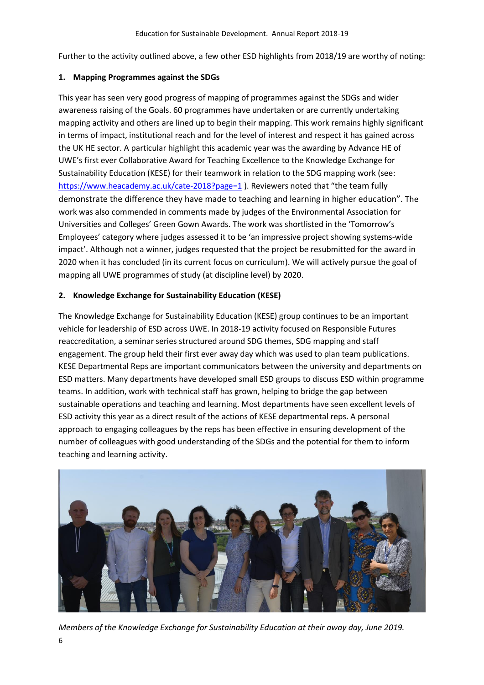Further to the activity outlined above, a few other ESD highlights from 2018/19 are worthy of noting:

#### **1. Mapping Programmes against the SDGs**

This year has seen very good progress of mapping of programmes against the SDGs and wider awareness raising of the Goals. 60 programmes have undertaken or are currently undertaking mapping activity and others are lined up to begin their mapping. This work remains highly significant in terms of impact, institutional reach and for the level of interest and respect it has gained across the UK HE sector. A particular highlight this academic year was the awarding by Advance HE of UWE's first ever Collaborative Award for Teaching Excellence to the Knowledge Exchange for Sustainability Education (KESE) for their teamwork in relation to the SDG mapping work (see: <https://www.heacademy.ac.uk/cate-2018?page=1> ). Reviewers noted that "the team fully demonstrate the difference they have made to teaching and learning in higher education". The work was also commended in comments made by judges of the Environmental Association for Universities and Colleges' Green Gown Awards. The work was shortlisted in the 'Tomorrow's Employees' category where judges assessed it to be 'an impressive project showing systems-wide impact'. Although not a winner, judges requested that the project be resubmitted for the award in 2020 when it has concluded (in its current focus on curriculum). We will actively pursue the goal of mapping all UWE programmes of study (at discipline level) by 2020.

### **2. Knowledge Exchange for Sustainability Education (KESE)**

The Knowledge Exchange for Sustainability Education (KESE) group continues to be an important vehicle for leadership of ESD across UWE. In 2018-19 activity focused on Responsible Futures reaccreditation, a seminar series structured around SDG themes, SDG mapping and staff engagement. The group held their first ever away day which was used to plan team publications. KESE Departmental Reps are important communicators between the university and departments on ESD matters. Many departments have developed small ESD groups to discuss ESD within programme teams. In addition, work with technical staff has grown, helping to bridge the gap between sustainable operations and teaching and learning. Most departments have seen excellent levels of ESD activity this year as a direct result of the actions of KESE departmental reps. A personal approach to engaging colleagues by the reps has been effective in ensuring development of the number of colleagues with good understanding of the SDGs and the potential for them to inform teaching and learning activity.



6 *Members of the Knowledge Exchange for Sustainability Education at their away day, June 2019.*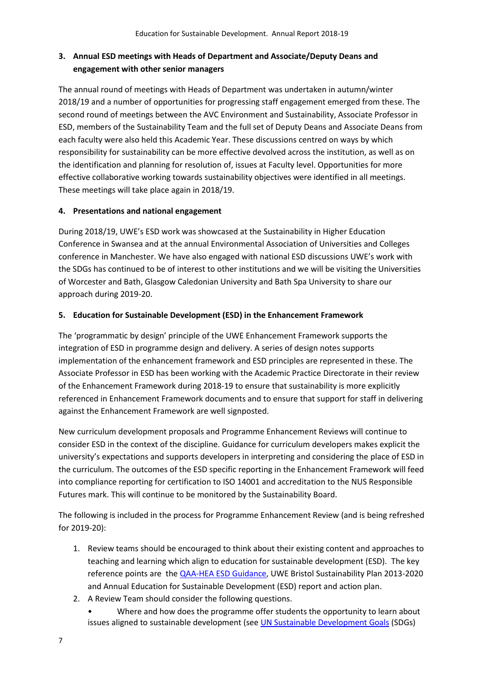## **3. Annual ESD meetings with Heads of Department and Associate/Deputy Deans and engagement with other senior managers**

The annual round of meetings with Heads of Department was undertaken in autumn/winter 2018/19 and a number of opportunities for progressing staff engagement emerged from these. The second round of meetings between the AVC Environment and Sustainability, Associate Professor in ESD, members of the Sustainability Team and the full set of Deputy Deans and Associate Deans from each faculty were also held this Academic Year. These discussions centred on ways by which responsibility for sustainability can be more effective devolved across the institution, as well as on the identification and planning for resolution of, issues at Faculty level. Opportunities for more effective collaborative working towards sustainability objectives were identified in all meetings. These meetings will take place again in 2018/19.

### **4. Presentations and national engagement**

During 2018/19, UWE's ESD work was showcased at the Sustainability in Higher Education Conference in Swansea and at the annual Environmental Association of Universities and Colleges conference in Manchester. We have also engaged with national ESD discussions UWE's work with the SDGs has continued to be of interest to other institutions and we will be visiting the Universities of Worcester and Bath, Glasgow Caledonian University and Bath Spa University to share our approach during 2019-20.

### **5. Education for Sustainable Development (ESD) in the Enhancement Framework**

The 'programmatic by design' principle of the UWE Enhancement Framework supports the integration of ESD in programme design and delivery. A series of design notes supports implementation of the enhancement framework and ESD principles are represented in these. The Associate Professor in ESD has been working with the Academic Practice Directorate in their review of the Enhancement Framework during 2018-19 to ensure that sustainability is more explicitly referenced in Enhancement Framework documents and to ensure that support for staff in delivering against the Enhancement Framework are well signposted.

New curriculum development proposals and Programme Enhancement Reviews will continue to consider ESD in the context of the discipline. Guidance for curriculum developers makes explicit the university's expectations and supports developers in interpreting and considering the place of ESD in the curriculum. The outcomes of the ESD specific reporting in the Enhancement Framework will feed into compliance reporting for certification to ISO 14001 and accreditation to the NUS Responsible Futures mark. This will continue to be monitored by the Sustainability Board.

The following is included in the process for Programme Enhancement Review (and is being refreshed for 2019-20):

- 1. Review teams should be encouraged to think about their existing content and approaches to teaching and learning which align to education for sustainable development (ESD). The key reference points are the [QAA-HEA ESD Guidance,](http://www.qaa.ac.uk/en/Publications/Documents/Education-sustainable-development-Guidance-June-14.pdf) UWE Bristol Sustainability Plan 2013-2020 and Annual Education for Sustainable Development (ESD) report and action plan.
- 2. A Review Team should consider the following questions.
	- Where and how does the programme offer students the opportunity to learn about issues aligned to sustainable development (se[e UN Sustainable Development Goals](https://sustainabledevelopment.un.org/?menu=1300) (SDGs)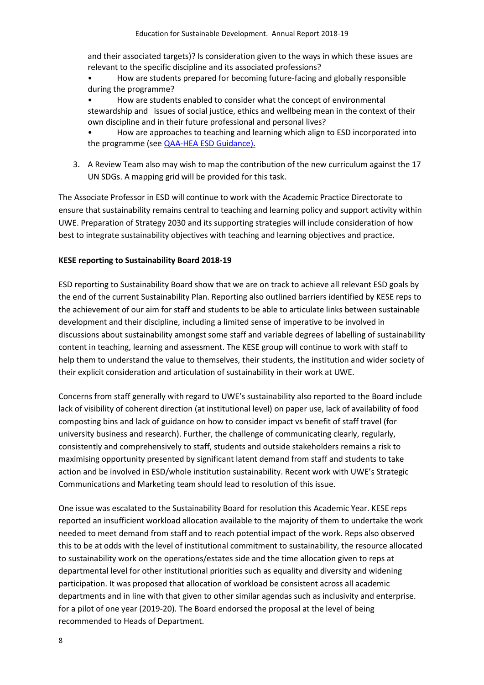and their associated targets)? Is consideration given to the ways in which these issues are relevant to the specific discipline and its associated professions?

• How are students prepared for becoming future-facing and globally responsible during the programme?

• How are students enabled to consider what the concept of environmental stewardship and issues of social justice, ethics and wellbeing mean in the context of their own discipline and in their future professional and personal lives?

• How are approaches to teaching and learning which align to ESD incorporated into the programme (se[e QAA-HEA ESD Guidance\)](http://www.qaa.ac.uk/en/Publications/Documents/Education-sustainable-development-Guidance-June-14.pdf).

3. A Review Team also may wish to map the contribution of the new curriculum against the 17 UN SDGs. A mapping grid will be provided for this task.

The Associate Professor in ESD will continue to work with the Academic Practice Directorate to ensure that sustainability remains central to teaching and learning policy and support activity within UWE. Preparation of Strategy 2030 and its supporting strategies will include consideration of how best to integrate sustainability objectives with teaching and learning objectives and practice.

#### **KESE reporting to Sustainability Board 2018-19**

ESD reporting to Sustainability Board show that we are on track to achieve all relevant ESD goals by the end of the current Sustainability Plan. Reporting also outlined barriers identified by KESE reps to the achievement of our aim for staff and students to be able to articulate links between sustainable development and their discipline, including a limited sense of imperative to be involved in discussions about sustainability amongst some staff and variable degrees of labelling of sustainability content in teaching, learning and assessment. The KESE group will continue to work with staff to help them to understand the value to themselves, their students, the institution and wider society of their explicit consideration and articulation of sustainability in their work at UWE.

Concerns from staff generally with regard to UWE's sustainability also reported to the Board include lack of visibility of coherent direction (at institutional level) on paper use, lack of availability of food composting bins and lack of guidance on how to consider impact vs benefit of staff travel (for university business and research). Further, the challenge of communicating clearly, regularly, consistently and comprehensively to staff, students and outside stakeholders remains a risk to maximising opportunity presented by significant latent demand from staff and students to take action and be involved in ESD/whole institution sustainability. Recent work with UWE's Strategic Communications and Marketing team should lead to resolution of this issue.

One issue was escalated to the Sustainability Board for resolution this Academic Year. KESE reps reported an insufficient workload allocation available to the majority of them to undertake the work needed to meet demand from staff and to reach potential impact of the work. Reps also observed this to be at odds with the level of institutional commitment to sustainability, the resource allocated to sustainability work on the operations/estates side and the time allocation given to reps at departmental level for other institutional priorities such as equality and diversity and widening participation. It was proposed that allocation of workload be consistent across all academic departments and in line with that given to other similar agendas such as inclusivity and enterprise. for a pilot of one year (2019-20). The Board endorsed the proposal at the level of being recommended to Heads of Department.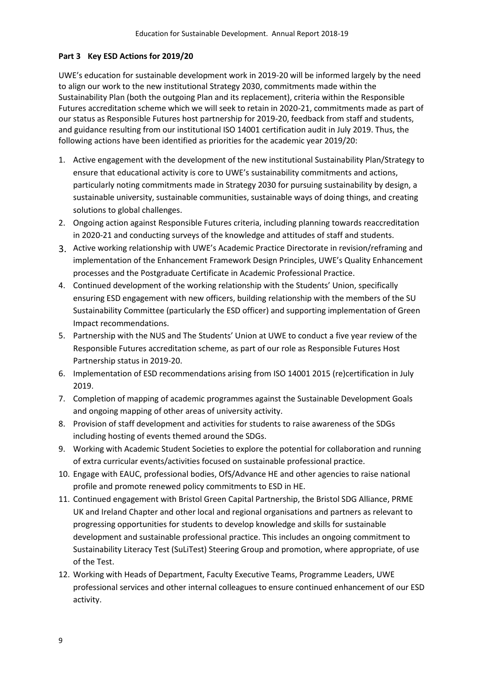#### **Part 3 Key ESD Actions for 2019/20**

UWE's education for sustainable development work in 2019-20 will be informed largely by the need to align our work to the new institutional Strategy 2030, commitments made within the Sustainability Plan (both the outgoing Plan and its replacement), criteria within the Responsible Futures accreditation scheme which we will seek to retain in 2020-21, commitments made as part of our status as Responsible Futures host partnership for 2019-20, feedback from staff and students, and guidance resulting from our institutional ISO 14001 certification audit in July 2019. Thus, the following actions have been identified as priorities for the academic year 2019/20:

- 1. Active engagement with the development of the new institutional Sustainability Plan/Strategy to ensure that educational activity is core to UWE's sustainability commitments and actions, particularly noting commitments made in Strategy 2030 for pursuing sustainability by design, a sustainable university, sustainable communities, sustainable ways of doing things, and creating solutions to global challenges.
- 2. Ongoing action against Responsible Futures criteria, including planning towards reaccreditation in 2020-21 and conducting surveys of the knowledge and attitudes of staff and students.
- 3. Active working relationship with UWE's Academic Practice Directorate in revision/reframing and implementation of the Enhancement Framework Design Principles, UWE's Quality Enhancement processes and the Postgraduate Certificate in Academic Professional Practice.
- 4. Continued development of the working relationship with the Students' Union, specifically ensuring ESD engagement with new officers, building relationship with the members of the SU Sustainability Committee (particularly the ESD officer) and supporting implementation of Green Impact recommendations.
- 5. Partnership with the NUS and The Students' Union at UWE to conduct a five year review of the Responsible Futures accreditation scheme, as part of our role as Responsible Futures Host Partnership status in 2019-20.
- 6. Implementation of ESD recommendations arising from ISO 14001 2015 (re)certification in July 2019.
- 7. Completion of mapping of academic programmes against the Sustainable Development Goals and ongoing mapping of other areas of university activity.
- 8. Provision of staff development and activities for students to raise awareness of the SDGs including hosting of events themed around the SDGs.
- 9. Working with Academic Student Societies to explore the potential for collaboration and running of extra curricular events/activities focused on sustainable professional practice.
- 10. Engage with EAUC, professional bodies, OfS/Advance HE and other agencies to raise national profile and promote renewed policy commitments to ESD in HE.
- 11. Continued engagement with Bristol Green Capital Partnership, the Bristol SDG Alliance, PRME UK and Ireland Chapter and other local and regional organisations and partners as relevant to progressing opportunities for students to develop knowledge and skills for sustainable development and sustainable professional practice. This includes an ongoing commitment to Sustainability Literacy Test (SuLiTest) Steering Group and promotion, where appropriate, of use of the Test.
- 12. Working with Heads of Department, Faculty Executive Teams, Programme Leaders, UWE professional services and other internal colleagues to ensure continued enhancement of our ESD activity.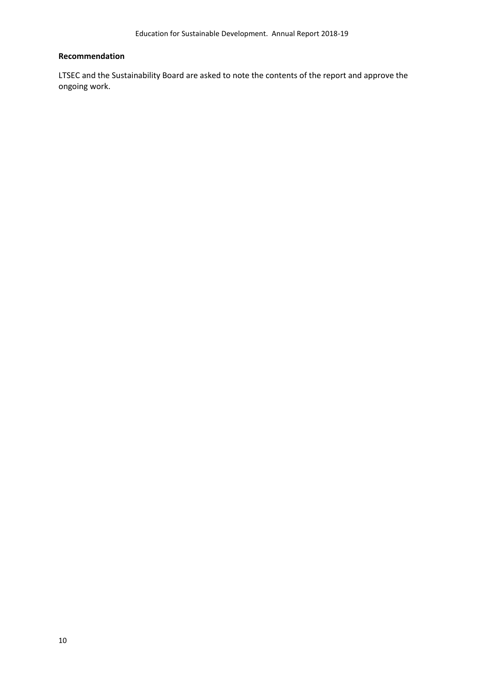#### **Recommendation**

LTSEC and the Sustainability Board are asked to note the contents of the report and approve the ongoing work.